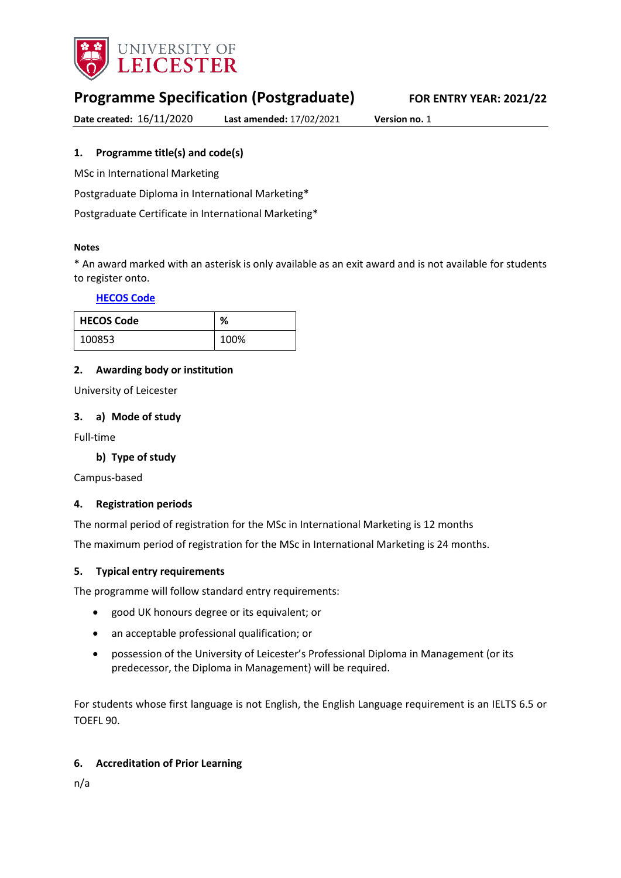

# **Programme Specification (Postgraduate) FOR ENTRY YEAR: 2021/22**

**Date created:** 16/11/2020 **Last amended:** 17/02/2021 **Version no.** 1

# <span id="page-0-0"></span>**1. Programme title(s) and code(s)**

MSc in International Marketing

Postgraduate Diploma in International Marketing\*

Postgraduate Certificate in International Marketing\*

### **Notes**

\* An award marked with an asterisk is only available as an exit award and is not available for students to register onto.

### **[HECOS Code](https://www.hesa.ac.uk/innovation/hecos)**

| <b>HECOS Code</b> | %    |
|-------------------|------|
| 100853            | 100% |

### **2. Awarding body or institution**

University of Leicester

### **3. a) Mode of study**

Full-time

### **b) Type of study**

Campus-based

### **4. Registration periods**

The normal period of registration for the MSc in International Marketing is 12 months

The maximum period of registration for the MSc in International Marketing is 24 months.

### **5. Typical entry requirements**

The programme will follow standard entry requirements:

- good UK honours degree or its equivalent; or
- an acceptable professional qualification; or
- possession of the University of Leicester's Professional Diploma in Management (or its predecessor, the Diploma in Management) will be required.

For students whose first language is not English, the English Language requirement is an IELTS 6.5 or TOEFL 90.

### **6. Accreditation of Prior Learning**

n/a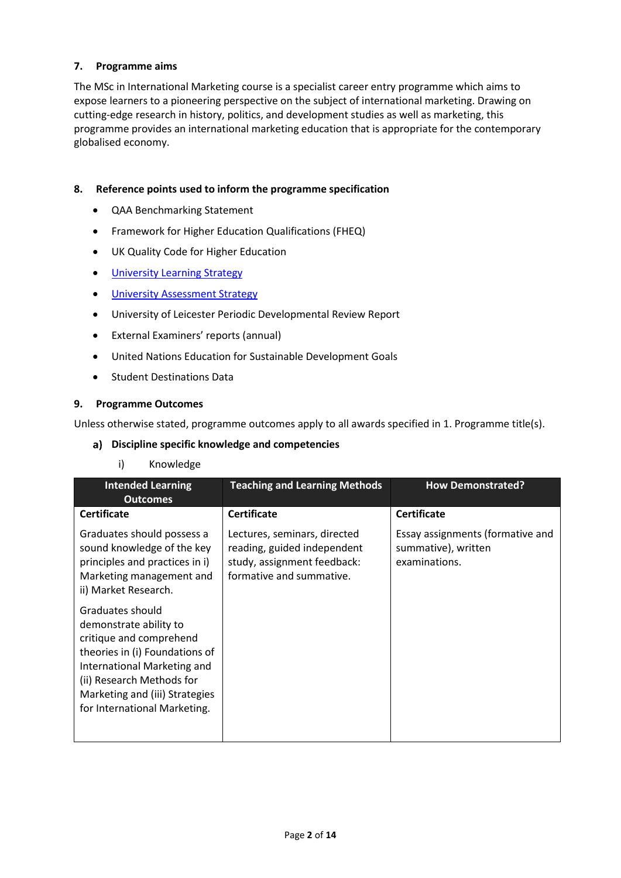# **7. Programme aims**

The MSc in International Marketing course is a specialist career entry programme which aims to expose learners to a pioneering perspective on the subject of international marketing. Drawing on cutting-edge research in history, politics, and development studies as well as marketing, this programme provides an international marketing education that is appropriate for the contemporary globalised economy.

### **8. Reference points used to inform the programme specification**

- QAA Benchmarking Statement
- Framework for Higher Education Qualifications (FHEQ)
- UK Quality Code for Higher Education
- [University Learning](https://www2.le.ac.uk/offices/sas2/quality/learnteach) Strategy
- **[University Assessment Strategy](https://www2.le.ac.uk/offices/sas2/quality/learnteach)**
- University of Leicester Periodic Developmental Review Report
- External Examiners' reports (annual)
- United Nations Education for Sustainable Development Goals
- Student Destinations Data

#### **9. Programme Outcomes**

Unless otherwise stated, programme outcomes apply to all awards specified in [1.](#page-0-0) Programme title(s).

#### **Discipline specific knowledge and competencies**

### i) Knowledge

| <b>Intended Learning</b><br><b>Outcomes</b>                                                                                                                                                                                           | <b>Teaching and Learning Methods</b>                                                                                   | <b>How Demonstrated?</b>                                                 |
|---------------------------------------------------------------------------------------------------------------------------------------------------------------------------------------------------------------------------------------|------------------------------------------------------------------------------------------------------------------------|--------------------------------------------------------------------------|
| <b>Certificate</b>                                                                                                                                                                                                                    | <b>Certificate</b>                                                                                                     | <b>Certificate</b>                                                       |
| Graduates should possess a<br>sound knowledge of the key<br>principles and practices in i)<br>Marketing management and<br>ii) Market Research.                                                                                        | Lectures, seminars, directed<br>reading, guided independent<br>study, assignment feedback:<br>formative and summative. | Essay assignments (formative and<br>summative), written<br>examinations. |
| Graduates should<br>demonstrate ability to<br>critique and comprehend<br>theories in (i) Foundations of<br>International Marketing and<br>(ii) Research Methods for<br>Marketing and (iii) Strategies<br>for International Marketing. |                                                                                                                        |                                                                          |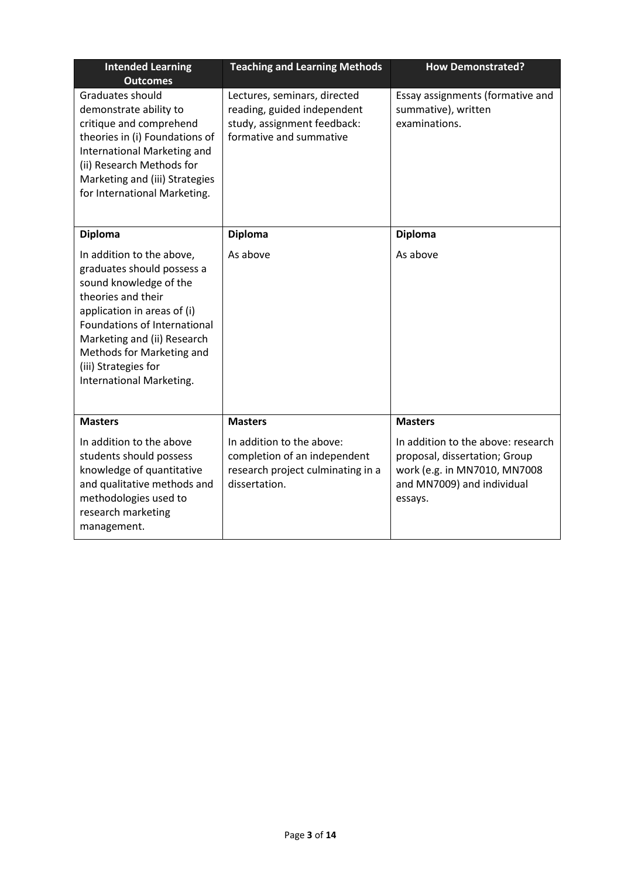| <b>Intended Learning</b><br><b>Outcomes</b>                                                                                                                                                                                                                                            | <b>Teaching and Learning Methods</b>                                                                                  | <b>How Demonstrated?</b>                                                                                                                     |
|----------------------------------------------------------------------------------------------------------------------------------------------------------------------------------------------------------------------------------------------------------------------------------------|-----------------------------------------------------------------------------------------------------------------------|----------------------------------------------------------------------------------------------------------------------------------------------|
| Graduates should<br>demonstrate ability to<br>critique and comprehend<br>theories in (i) Foundations of<br>International Marketing and<br>(ii) Research Methods for<br>Marketing and (iii) Strategies<br>for International Marketing.                                                  | Lectures, seminars, directed<br>reading, guided independent<br>study, assignment feedback:<br>formative and summative | Essay assignments (formative and<br>summative), written<br>examinations.                                                                     |
| <b>Diploma</b>                                                                                                                                                                                                                                                                         | <b>Diploma</b>                                                                                                        | <b>Diploma</b>                                                                                                                               |
| In addition to the above,<br>graduates should possess a<br>sound knowledge of the<br>theories and their<br>application in areas of (i)<br>Foundations of International<br>Marketing and (ii) Research<br>Methods for Marketing and<br>(iii) Strategies for<br>International Marketing. | As above                                                                                                              | As above                                                                                                                                     |
| <b>Masters</b>                                                                                                                                                                                                                                                                         | <b>Masters</b>                                                                                                        | <b>Masters</b>                                                                                                                               |
| In addition to the above<br>students should possess<br>knowledge of quantitative<br>and qualitative methods and<br>methodologies used to<br>research marketing<br>management.                                                                                                          | In addition to the above:<br>completion of an independent<br>research project culminating in a<br>dissertation.       | In addition to the above: research<br>proposal, dissertation; Group<br>work (e.g. in MN7010, MN7008<br>and MN7009) and individual<br>essays. |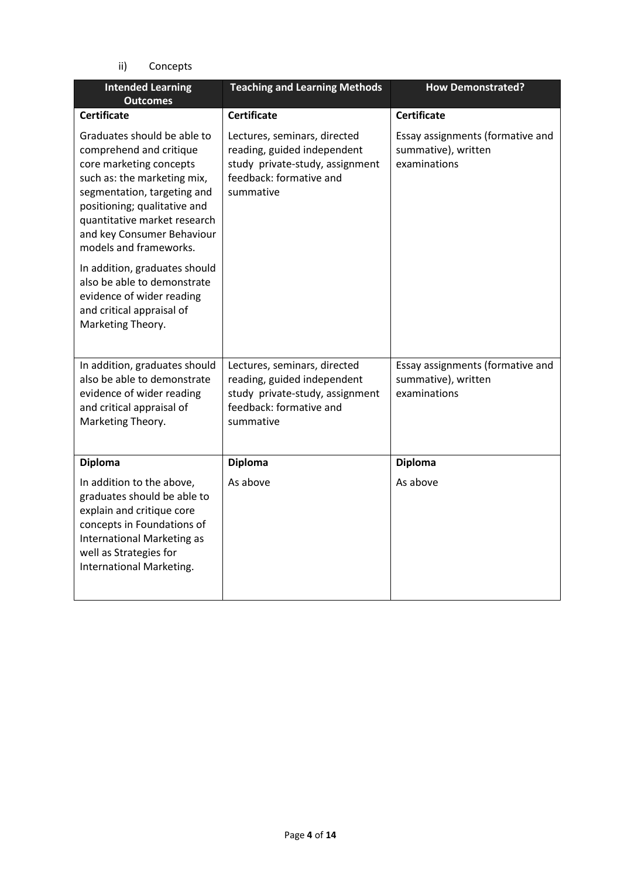ii) Concepts

| <b>Intended Learning</b><br><b>Outcomes</b>                                                                                                                                                                                                                             | <b>Teaching and Learning Methods</b>                                                                                                   | <b>How Demonstrated?</b>                                                |
|-------------------------------------------------------------------------------------------------------------------------------------------------------------------------------------------------------------------------------------------------------------------------|----------------------------------------------------------------------------------------------------------------------------------------|-------------------------------------------------------------------------|
| <b>Certificate</b>                                                                                                                                                                                                                                                      | <b>Certificate</b>                                                                                                                     | <b>Certificate</b>                                                      |
| Graduates should be able to<br>comprehend and critique<br>core marketing concepts<br>such as: the marketing mix,<br>segmentation, targeting and<br>positioning; qualitative and<br>quantitative market research<br>and key Consumer Behaviour<br>models and frameworks. | Lectures, seminars, directed<br>reading, guided independent<br>study private-study, assignment<br>feedback: formative and<br>summative | Essay assignments (formative and<br>summative), written<br>examinations |
| In addition, graduates should<br>also be able to demonstrate<br>evidence of wider reading<br>and critical appraisal of<br>Marketing Theory.                                                                                                                             |                                                                                                                                        |                                                                         |
| In addition, graduates should<br>also be able to demonstrate<br>evidence of wider reading<br>and critical appraisal of<br>Marketing Theory.                                                                                                                             | Lectures, seminars, directed<br>reading, guided independent<br>study private-study, assignment<br>feedback: formative and<br>summative | Essay assignments (formative and<br>summative), written<br>examinations |
| <b>Diploma</b>                                                                                                                                                                                                                                                          | <b>Diploma</b>                                                                                                                         | <b>Diploma</b>                                                          |
| In addition to the above,<br>graduates should be able to<br>explain and critique core<br>concepts in Foundations of<br><b>International Marketing as</b><br>well as Strategies for<br>International Marketing.                                                          | As above                                                                                                                               | As above                                                                |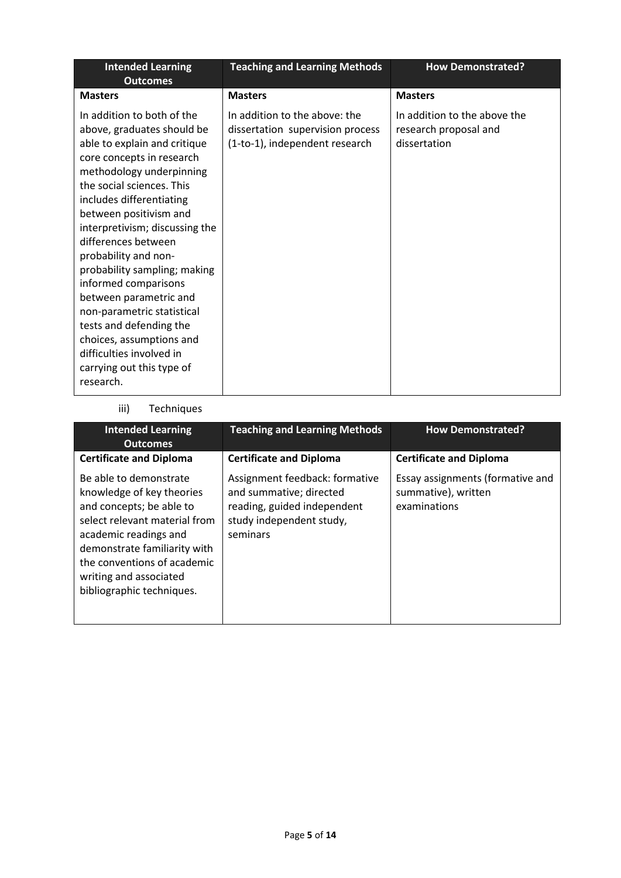| <b>Intended Learning</b><br><b>Outcomes</b>                                                                                                                                                                                                                                                                                                                                                                                                                                                                                                                        | <b>Teaching and Learning Methods</b>                                                                | <b>How Demonstrated?</b>                                              |
|--------------------------------------------------------------------------------------------------------------------------------------------------------------------------------------------------------------------------------------------------------------------------------------------------------------------------------------------------------------------------------------------------------------------------------------------------------------------------------------------------------------------------------------------------------------------|-----------------------------------------------------------------------------------------------------|-----------------------------------------------------------------------|
| <b>Masters</b>                                                                                                                                                                                                                                                                                                                                                                                                                                                                                                                                                     | <b>Masters</b>                                                                                      | <b>Masters</b>                                                        |
| In addition to both of the<br>above, graduates should be<br>able to explain and critique<br>core concepts in research<br>methodology underpinning<br>the social sciences. This<br>includes differentiating<br>between positivism and<br>interpretivism; discussing the<br>differences between<br>probability and non-<br>probability sampling; making<br>informed comparisons<br>between parametric and<br>non-parametric statistical<br>tests and defending the<br>choices, assumptions and<br>difficulties involved in<br>carrying out this type of<br>research. | In addition to the above: the<br>dissertation supervision process<br>(1-to-1), independent research | In addition to the above the<br>research proposal and<br>dissertation |

# iii) Techniques

| <b>Intended Learning</b><br><b>Outcomes</b>                                                                                                                                                                                                                     | <b>Teaching and Learning Methods</b>                                                                                             | <b>How Demonstrated?</b>                                                |
|-----------------------------------------------------------------------------------------------------------------------------------------------------------------------------------------------------------------------------------------------------------------|----------------------------------------------------------------------------------------------------------------------------------|-------------------------------------------------------------------------|
| <b>Certificate and Diploma</b>                                                                                                                                                                                                                                  | <b>Certificate and Diploma</b>                                                                                                   | <b>Certificate and Diploma</b>                                          |
| Be able to demonstrate<br>knowledge of key theories<br>and concepts; be able to<br>select relevant material from<br>academic readings and<br>demonstrate familiarity with<br>the conventions of academic<br>writing and associated<br>bibliographic techniques. | Assignment feedback: formative<br>and summative; directed<br>reading, guided independent<br>study independent study,<br>seminars | Essay assignments (formative and<br>summative), written<br>examinations |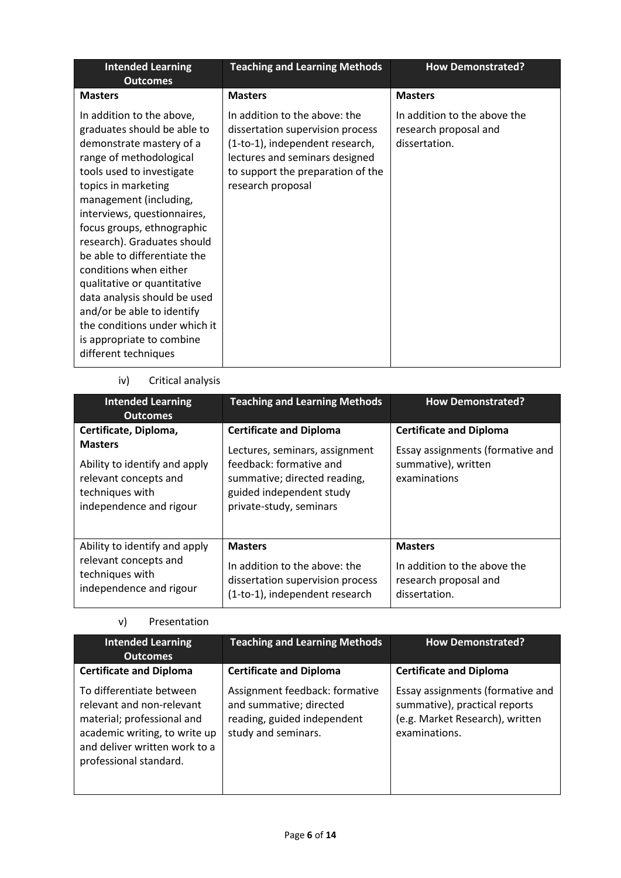| <b>Intended Learning</b><br><b>Outcomes</b>                                                                                                                                                                                                                                                                                                                                                                                                                                                                                            | <b>Teaching and Learning Methods</b>                                                                                                                                                             | <b>How Demonstrated?</b>                                               |
|----------------------------------------------------------------------------------------------------------------------------------------------------------------------------------------------------------------------------------------------------------------------------------------------------------------------------------------------------------------------------------------------------------------------------------------------------------------------------------------------------------------------------------------|--------------------------------------------------------------------------------------------------------------------------------------------------------------------------------------------------|------------------------------------------------------------------------|
| <b>Masters</b>                                                                                                                                                                                                                                                                                                                                                                                                                                                                                                                         | <b>Masters</b>                                                                                                                                                                                   | <b>Masters</b>                                                         |
| In addition to the above,<br>graduates should be able to<br>demonstrate mastery of a<br>range of methodological<br>tools used to investigate<br>topics in marketing<br>management (including,<br>interviews, questionnaires,<br>focus groups, ethnographic<br>research). Graduates should<br>be able to differentiate the<br>conditions when either<br>qualitative or quantitative<br>data analysis should be used<br>and/or be able to identify<br>the conditions under which it<br>is appropriate to combine<br>different techniques | In addition to the above: the<br>dissertation supervision process<br>(1-to-1), independent research,<br>lectures and seminars designed<br>to support the preparation of the<br>research proposal | In addition to the above the<br>research proposal and<br>dissertation. |

# iv) Critical analysis

| <b>Intended Learning</b><br><b>Outcomes</b>                                                                                                     | <b>Teaching and Learning Methods</b>                                                                                                                                               | <b>How Demonstrated?</b>                                                                                  |
|-------------------------------------------------------------------------------------------------------------------------------------------------|------------------------------------------------------------------------------------------------------------------------------------------------------------------------------------|-----------------------------------------------------------------------------------------------------------|
| Certificate, Diploma,<br><b>Masters</b><br>Ability to identify and apply<br>relevant concepts and<br>techniques with<br>independence and rigour | <b>Certificate and Diploma</b><br>Lectures, seminars, assignment<br>feedback: formative and<br>summative; directed reading,<br>guided independent study<br>private-study, seminars | <b>Certificate and Diploma</b><br>Essay assignments (formative and<br>summative), written<br>examinations |
| Ability to identify and apply<br>relevant concepts and<br>techniques with<br>independence and rigour                                            | <b>Masters</b><br>In addition to the above: the<br>dissertation supervision process<br>(1-to-1), independent research                                                              | <b>Masters</b><br>In addition to the above the<br>research proposal and<br>dissertation.                  |

### v) Presentation

| <b>Intended Learning</b><br><b>Outcomes</b>                                                                                                                                     | <b>Teaching and Learning Methods</b>                                                                            | <b>How Demonstrated?</b>                                                                                              |
|---------------------------------------------------------------------------------------------------------------------------------------------------------------------------------|-----------------------------------------------------------------------------------------------------------------|-----------------------------------------------------------------------------------------------------------------------|
| <b>Certificate and Diploma</b>                                                                                                                                                  | <b>Certificate and Diploma</b>                                                                                  | <b>Certificate and Diploma</b>                                                                                        |
| To differentiate between<br>relevant and non-relevant<br>material; professional and<br>academic writing, to write up<br>and deliver written work to a<br>professional standard. | Assignment feedback: formative<br>and summative; directed<br>reading, guided independent<br>study and seminars. | Essay assignments (formative and<br>summative), practical reports<br>(e.g. Market Research), written<br>examinations. |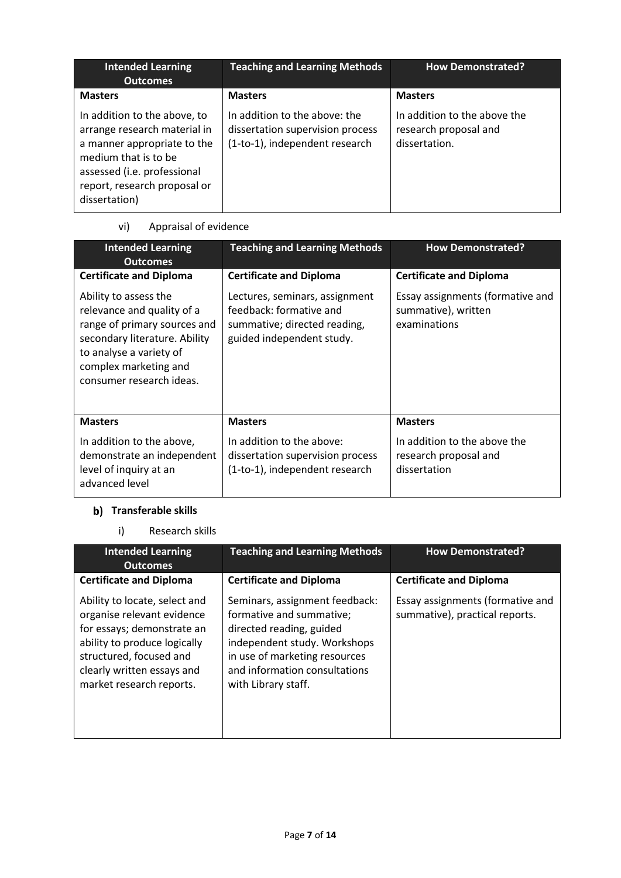| <b>Intended Learning</b><br><b>Outcomes</b>                                                                                                                                                         | <b>Teaching and Learning Methods</b>                                                                | <b>How Demonstrated?</b>                                               |
|-----------------------------------------------------------------------------------------------------------------------------------------------------------------------------------------------------|-----------------------------------------------------------------------------------------------------|------------------------------------------------------------------------|
| <b>Masters</b>                                                                                                                                                                                      | <b>Masters</b>                                                                                      | <b>Masters</b>                                                         |
| In addition to the above, to<br>arrange research material in<br>a manner appropriate to the<br>medium that is to be<br>assessed (i.e. professional<br>report, research proposal or<br>dissertation) | In addition to the above: the<br>dissertation supervision process<br>(1-to-1), independent research | In addition to the above the<br>research proposal and<br>dissertation. |

# vi) Appraisal of evidence

| <b>Intended Learning</b><br><b>Outcomes</b>                                                                                                                                                          | <b>Teaching and Learning Methods</b>                                                                                   | <b>How Demonstrated?</b>                                                |
|------------------------------------------------------------------------------------------------------------------------------------------------------------------------------------------------------|------------------------------------------------------------------------------------------------------------------------|-------------------------------------------------------------------------|
| <b>Certificate and Diploma</b>                                                                                                                                                                       | <b>Certificate and Diploma</b>                                                                                         | <b>Certificate and Diploma</b>                                          |
| Ability to assess the<br>relevance and quality of a<br>range of primary sources and<br>secondary literature. Ability<br>to analyse a variety of<br>complex marketing and<br>consumer research ideas. | Lectures, seminars, assignment<br>feedback: formative and<br>summative; directed reading,<br>guided independent study. | Essay assignments (formative and<br>summative), written<br>examinations |
| <b>Masters</b>                                                                                                                                                                                       | <b>Masters</b>                                                                                                         | <b>Masters</b>                                                          |
| In addition to the above,<br>demonstrate an independent<br>level of inquiry at an<br>advanced level                                                                                                  | In addition to the above:<br>dissertation supervision process<br>(1-to-1), independent research                        | In addition to the above the<br>research proposal and<br>dissertation   |

# **Transferable skills**

i) Research skills

| <b>Intended Learning</b><br><b>Outcomes</b>                                                                                                                                                                    | <b>Teaching and Learning Methods</b>                                                                                                                                                                            | <b>How Demonstrated?</b>                                           |
|----------------------------------------------------------------------------------------------------------------------------------------------------------------------------------------------------------------|-----------------------------------------------------------------------------------------------------------------------------------------------------------------------------------------------------------------|--------------------------------------------------------------------|
| <b>Certificate and Diploma</b>                                                                                                                                                                                 | <b>Certificate and Diploma</b>                                                                                                                                                                                  | <b>Certificate and Diploma</b>                                     |
| Ability to locate, select and<br>organise relevant evidence<br>for essays; demonstrate an<br>ability to produce logically<br>structured, focused and<br>clearly written essays and<br>market research reports. | Seminars, assignment feedback:<br>formative and summative;<br>directed reading, guided<br>independent study. Workshops<br>in use of marketing resources<br>and information consultations<br>with Library staff. | Essay assignments (formative and<br>summative), practical reports. |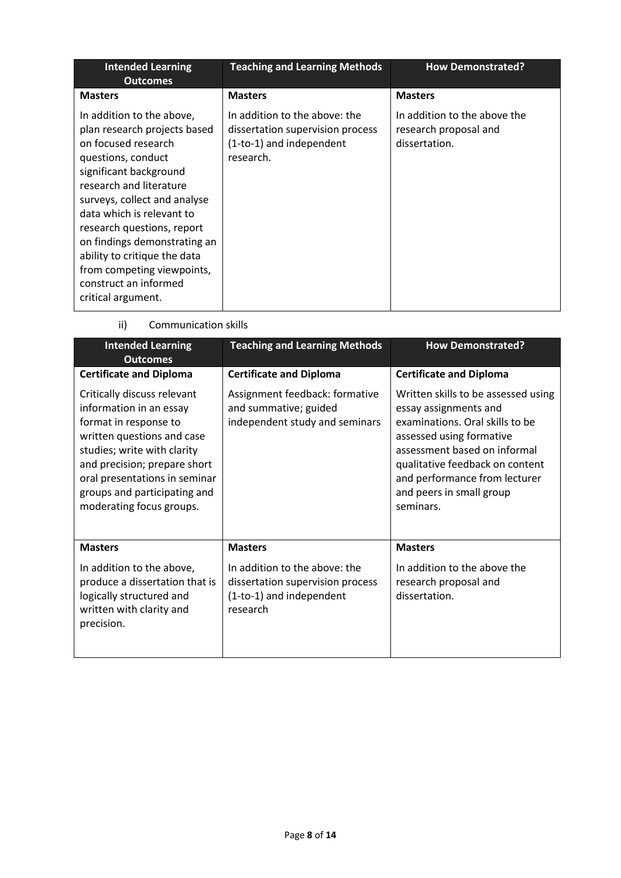| <b>Intended Learning</b><br><b>Outcomes</b>                                                                                                                                                                                                                                                                                                                                                         | <b>Teaching and Learning Methods</b>                                                                       | <b>How Demonstrated?</b>                                               |
|-----------------------------------------------------------------------------------------------------------------------------------------------------------------------------------------------------------------------------------------------------------------------------------------------------------------------------------------------------------------------------------------------------|------------------------------------------------------------------------------------------------------------|------------------------------------------------------------------------|
| <b>Masters</b>                                                                                                                                                                                                                                                                                                                                                                                      | <b>Masters</b>                                                                                             | <b>Masters</b>                                                         |
| In addition to the above,<br>plan research projects based<br>on focused research<br>questions, conduct<br>significant background<br>research and literature<br>surveys, collect and analyse<br>data which is relevant to<br>research questions, report<br>on findings demonstrating an<br>ability to critique the data<br>from competing viewpoints,<br>construct an informed<br>critical argument. | In addition to the above: the<br>dissertation supervision process<br>(1-to-1) and independent<br>research. | In addition to the above the<br>research proposal and<br>dissertation. |

ii) Communication skills

| <b>Intended Learning</b><br><b>Outcomes</b>                                                                                                                                                                                                                               | <b>Teaching and Learning Methods</b>                                                                      | <b>How Demonstrated?</b>                                                                                                                                                                                                                                                 |  |
|---------------------------------------------------------------------------------------------------------------------------------------------------------------------------------------------------------------------------------------------------------------------------|-----------------------------------------------------------------------------------------------------------|--------------------------------------------------------------------------------------------------------------------------------------------------------------------------------------------------------------------------------------------------------------------------|--|
| <b>Certificate and Diploma</b>                                                                                                                                                                                                                                            | <b>Certificate and Diploma</b>                                                                            | <b>Certificate and Diploma</b>                                                                                                                                                                                                                                           |  |
| Critically discuss relevant<br>information in an essay<br>format in response to<br>written questions and case<br>studies; write with clarity<br>and precision; prepare short<br>oral presentations in seminar<br>groups and participating and<br>moderating focus groups. | Assignment feedback: formative<br>and summative; guided<br>independent study and seminars                 | Written skills to be assessed using<br>essay assignments and<br>examinations. Oral skills to be<br>assessed using formative<br>assessment based on informal<br>qualitative feedback on content<br>and performance from lecturer<br>and peers in small group<br>seminars. |  |
| <b>Masters</b>                                                                                                                                                                                                                                                            | <b>Masters</b>                                                                                            | <b>Masters</b>                                                                                                                                                                                                                                                           |  |
| In addition to the above,<br>produce a dissertation that is<br>logically structured and<br>written with clarity and<br>precision.                                                                                                                                         | In addition to the above: the<br>dissertation supervision process<br>(1-to-1) and independent<br>research | In addition to the above the<br>research proposal and<br>dissertation.                                                                                                                                                                                                   |  |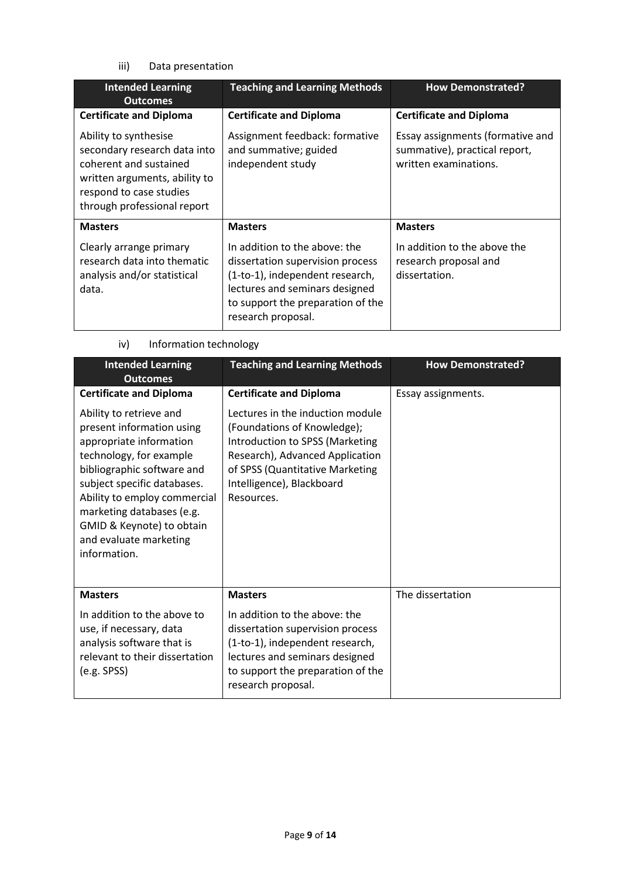iii) Data presentation

| <b>Intended Learning</b><br><b>Outcomes</b>                                                                                                                                | <b>Teaching and Learning Methods</b>                                                                                                                                                                                | <b>How Demonstrated?</b>                                                                   |  |
|----------------------------------------------------------------------------------------------------------------------------------------------------------------------------|---------------------------------------------------------------------------------------------------------------------------------------------------------------------------------------------------------------------|--------------------------------------------------------------------------------------------|--|
| <b>Certificate and Diploma</b>                                                                                                                                             | <b>Certificate and Diploma</b>                                                                                                                                                                                      | <b>Certificate and Diploma</b>                                                             |  |
| Ability to synthesise<br>secondary research data into<br>coherent and sustained<br>written arguments, ability to<br>respond to case studies<br>through professional report | Assignment feedback: formative<br>and summative; guided<br>independent study                                                                                                                                        | Essay assignments (formative and<br>summative), practical report,<br>written examinations. |  |
| <b>Masters</b><br>Clearly arrange primary<br>research data into thematic<br>analysis and/or statistical<br>data.                                                           | <b>Masters</b><br>In addition to the above: the<br>dissertation supervision process<br>(1-to-1), independent research,<br>lectures and seminars designed<br>to support the preparation of the<br>research proposal. | <b>Masters</b><br>In addition to the above the<br>research proposal and<br>dissertation.   |  |

iv) Information technology

| <b>Intended Learning</b><br><b>Outcomes</b>                                                                                                                                                                                                                                                                 | <b>Teaching and Learning Methods</b>                                                                                                                                                                                | <b>How Demonstrated?</b> |  |
|-------------------------------------------------------------------------------------------------------------------------------------------------------------------------------------------------------------------------------------------------------------------------------------------------------------|---------------------------------------------------------------------------------------------------------------------------------------------------------------------------------------------------------------------|--------------------------|--|
| <b>Certificate and Diploma</b>                                                                                                                                                                                                                                                                              | <b>Certificate and Diploma</b>                                                                                                                                                                                      | Essay assignments.       |  |
| Ability to retrieve and<br>present information using<br>appropriate information<br>technology, for example<br>bibliographic software and<br>subject specific databases.<br>Ability to employ commercial<br>marketing databases (e.g.<br>GMID & Keynote) to obtain<br>and evaluate marketing<br>information. | Lectures in the induction module<br>(Foundations of Knowledge);<br>Introduction to SPSS (Marketing<br>Research), Advanced Application<br>of SPSS (Quantitative Marketing<br>Intelligence), Blackboard<br>Resources. |                          |  |
| <b>Masters</b>                                                                                                                                                                                                                                                                                              | <b>Masters</b>                                                                                                                                                                                                      | The dissertation         |  |
| In addition to the above to<br>use, if necessary, data<br>analysis software that is<br>relevant to their dissertation<br>(e.g. SPSS)                                                                                                                                                                        | In addition to the above: the<br>dissertation supervision process<br>(1-to-1), independent research,<br>lectures and seminars designed<br>to support the preparation of the<br>research proposal.                   |                          |  |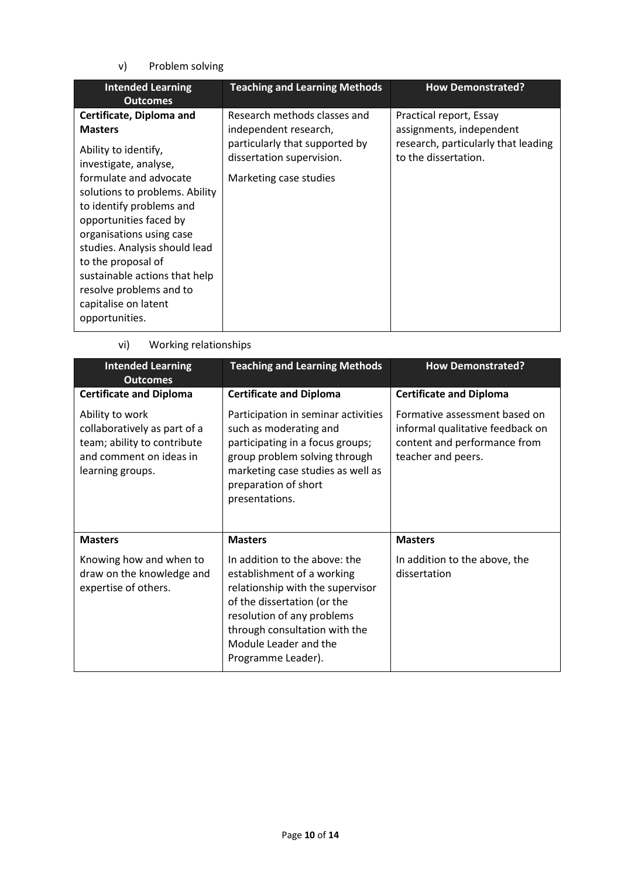v) Problem solving

| <b>Intended Learning</b><br><b>Outcomes</b>                                                                                                                                                                                                                                                                                                                                                            | <b>Teaching and Learning Methods</b>                                                                                                           | <b>How Demonstrated?</b>                                                                                           |
|--------------------------------------------------------------------------------------------------------------------------------------------------------------------------------------------------------------------------------------------------------------------------------------------------------------------------------------------------------------------------------------------------------|------------------------------------------------------------------------------------------------------------------------------------------------|--------------------------------------------------------------------------------------------------------------------|
| Certificate, Diploma and<br><b>Masters</b><br>Ability to identify,<br>investigate, analyse,<br>formulate and advocate<br>solutions to problems. Ability<br>to identify problems and<br>opportunities faced by<br>organisations using case<br>studies. Analysis should lead<br>to the proposal of<br>sustainable actions that help<br>resolve problems and to<br>capitalise on latent<br>opportunities. | Research methods classes and<br>independent research,<br>particularly that supported by<br>dissertation supervision.<br>Marketing case studies | Practical report, Essay<br>assignments, independent<br>research, particularly that leading<br>to the dissertation. |

vi) Working relationships

| <b>Intended Learning</b><br><b>Outcomes</b>                                                                                   | <b>Teaching and Learning Methods</b>                                                                                                                                                                                                         | <b>How Demonstrated?</b>                                                                                                |  |
|-------------------------------------------------------------------------------------------------------------------------------|----------------------------------------------------------------------------------------------------------------------------------------------------------------------------------------------------------------------------------------------|-------------------------------------------------------------------------------------------------------------------------|--|
| <b>Certificate and Diploma</b>                                                                                                | <b>Certificate and Diploma</b>                                                                                                                                                                                                               | <b>Certificate and Diploma</b>                                                                                          |  |
| Ability to work<br>collaboratively as part of a<br>team; ability to contribute<br>and comment on ideas in<br>learning groups. | Participation in seminar activities<br>such as moderating and<br>participating in a focus groups;<br>group problem solving through<br>marketing case studies as well as<br>preparation of short<br>presentations.                            | Formative assessment based on<br>informal qualitative feedback on<br>content and performance from<br>teacher and peers. |  |
| <b>Masters</b>                                                                                                                | <b>Masters</b>                                                                                                                                                                                                                               | <b>Masters</b>                                                                                                          |  |
| Knowing how and when to<br>draw on the knowledge and<br>expertise of others.                                                  | In addition to the above: the<br>establishment of a working<br>relationship with the supervisor<br>of the dissertation (or the<br>resolution of any problems<br>through consultation with the<br>Module Leader and the<br>Programme Leader). | In addition to the above, the<br>dissertation                                                                           |  |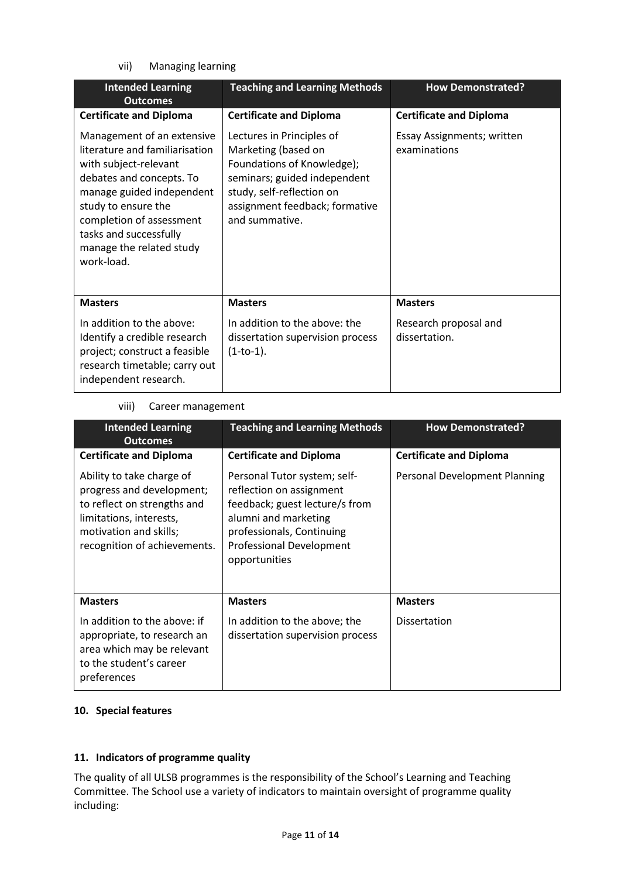vii) Managing learning

| <b>Intended Learning</b><br><b>Outcomes</b>                                                                                                                                                                                                                           | <b>Teaching and Learning Methods</b>                                                                                                                                                            | <b>How Demonstrated?</b>                   |  |
|-----------------------------------------------------------------------------------------------------------------------------------------------------------------------------------------------------------------------------------------------------------------------|-------------------------------------------------------------------------------------------------------------------------------------------------------------------------------------------------|--------------------------------------------|--|
| <b>Certificate and Diploma</b>                                                                                                                                                                                                                                        | <b>Certificate and Diploma</b>                                                                                                                                                                  | <b>Certificate and Diploma</b>             |  |
| Management of an extensive<br>literature and familiarisation<br>with subject-relevant<br>debates and concepts. To<br>manage guided independent<br>study to ensure the<br>completion of assessment<br>tasks and successfully<br>manage the related study<br>work-load. | Lectures in Principles of<br>Marketing (based on<br>Foundations of Knowledge);<br>seminars; guided independent<br>study, self-reflection on<br>assignment feedback; formative<br>and summative. | Essay Assignments; written<br>examinations |  |
| <b>Masters</b>                                                                                                                                                                                                                                                        | <b>Masters</b>                                                                                                                                                                                  | <b>Masters</b>                             |  |
| In addition to the above:<br>Identify a credible research<br>project; construct a feasible<br>research timetable; carry out<br>independent research.                                                                                                                  | In addition to the above: the<br>dissertation supervision process<br>$(1-to-1).$                                                                                                                | Research proposal and<br>dissertation.     |  |

### viii) Career management

| <b>Intended Learning</b><br><b>Outcomes</b>                                                                                                                                | <b>Teaching and Learning Methods</b>                                                                                                                                                                | <b>How Demonstrated?</b>       |  |
|----------------------------------------------------------------------------------------------------------------------------------------------------------------------------|-----------------------------------------------------------------------------------------------------------------------------------------------------------------------------------------------------|--------------------------------|--|
| <b>Certificate and Diploma</b>                                                                                                                                             | <b>Certificate and Diploma</b>                                                                                                                                                                      | <b>Certificate and Diploma</b> |  |
| Ability to take charge of<br>progress and development;<br>to reflect on strengths and<br>limitations, interests,<br>motivation and skills;<br>recognition of achievements. | Personal Tutor system; self-<br>reflection on assignment<br>feedback; guest lecture/s from<br>alumni and marketing<br>professionals, Continuing<br><b>Professional Development</b><br>opportunities | Personal Development Planning  |  |
| <b>Masters</b>                                                                                                                                                             | <b>Masters</b>                                                                                                                                                                                      | <b>Masters</b>                 |  |
| In addition to the above: if<br>appropriate, to research an<br>area which may be relevant<br>to the student's career<br>preferences                                        | In addition to the above; the<br>dissertation supervision process                                                                                                                                   | Dissertation                   |  |

### **10. Special features**

# **11. Indicators of programme quality**

The quality of all ULSB programmes is the responsibility of the School's Learning and Teaching Committee. The School use a variety of indicators to maintain oversight of programme quality including: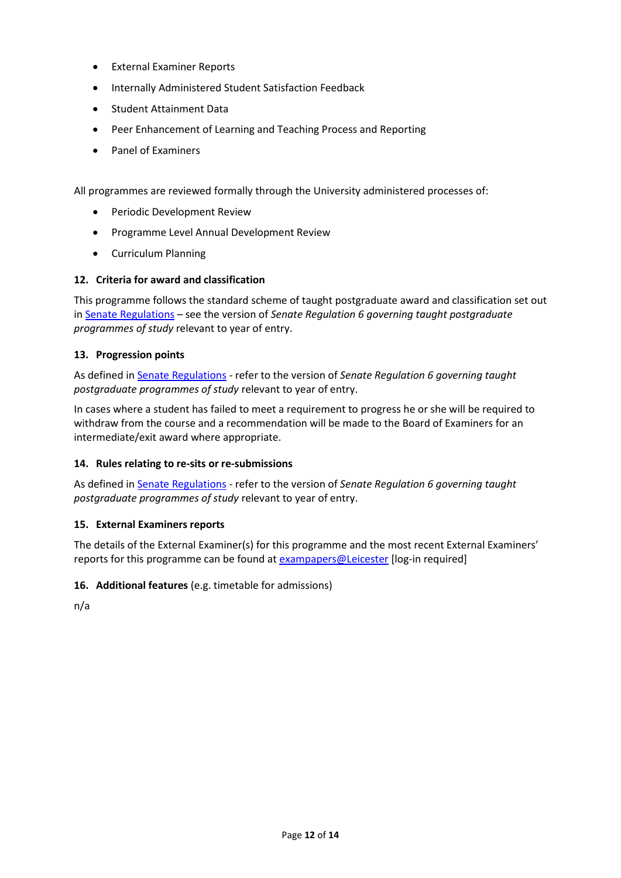- External Examiner Reports
- **Internally Administered Student Satisfaction Feedback**
- Student Attainment Data
- Peer Enhancement of Learning and Teaching Process and Reporting
- Panel of Examiners

All programmes are reviewed formally through the University administered processes of:

- Periodic Development Review
- **•** Programme Level Annual Development Review
- Curriculum Planning

# **12. Criteria for award and classification**

This programme follows the standard scheme of taught postgraduate award and classification set out i[n Senate Regulations](http://www.le.ac.uk/senate-regulations) – see the version of *Senate Regulation 6 governing taught postgraduate programmes of study* relevant to year of entry.

# **13. Progression points**

As defined i[n Senate Regulations](http://www.le.ac.uk/senate-regulation6) - refer to the version of *Senate Regulation 6 governing taught postgraduate programmes of study* relevant to year of entry.

In cases where a student has failed to meet a requirement to progress he or she will be required to withdraw from the course and a recommendation will be made to the Board of Examiners for an intermediate/exit award where appropriate.

# **14. Rules relating to re-sits or re-submissions**

As defined i[n Senate Regulations](http://www.le.ac.uk/senate-regulation6) - refer to the version of *Senate Regulation 6 governing taught postgraduate programmes of study* relevant to year of entry.

# **15. External Examiners reports**

The details of the External Examiner(s) for this programme and the most recent External Examiners' reports for this programme can be found at **exampapers@Leicester** [log-in required]

# **16. Additional features** (e.g. timetable for admissions)

n/a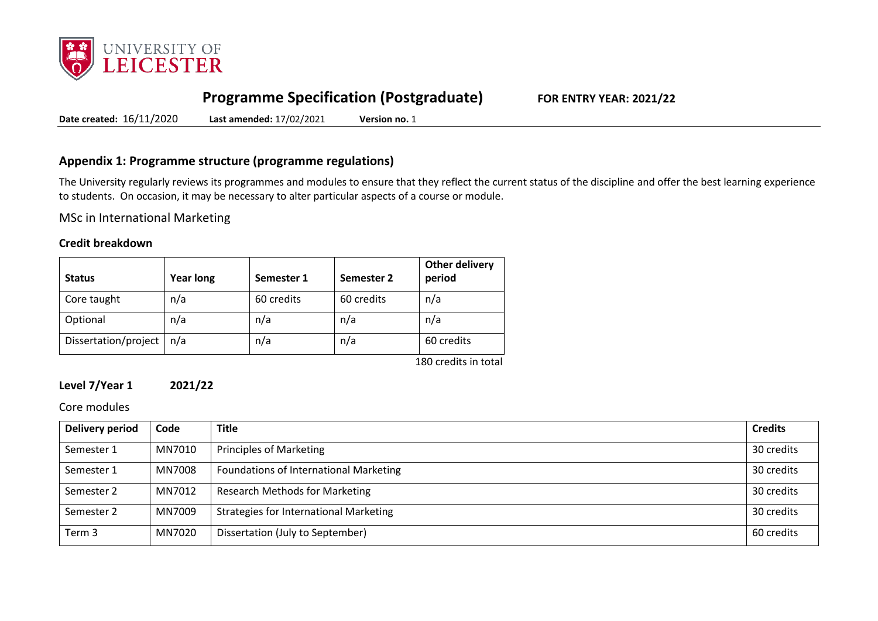

# **Programme Specification (Postgraduate) FOR ENTRY YEAR: 2021/22**

**Date created:** 16/11/2020 **Last amended:** 17/02/2021 **Version no.** 1

# **Appendix 1: Programme structure (programme regulations)**

The University regularly reviews its programmes and modules to ensure that they reflect the current status of the discipline and offer the best learning experience to students. On occasion, it may be necessary to alter particular aspects of a course or module.

MSc in International Marketing

### **Credit breakdown**

| <b>Status</b>        | <b>Year long</b> | Semester 1 | Semester 2 | <b>Other delivery</b><br>period |
|----------------------|------------------|------------|------------|---------------------------------|
| Core taught          | n/a              | 60 credits | 60 credits | n/a                             |
| Optional             | n/a              | n/a        | n/a        | n/a                             |
| Dissertation/project | n/a              | n/a        | n/a        | 60 credits                      |
|                      |                  |            |            | 180 credits in total            |

# **Level 7/Year 1 2021/22**

Core modules

| Delivery period | Code   | <b>Title</b>                                  | <b>Credits</b> |
|-----------------|--------|-----------------------------------------------|----------------|
| Semester 1      | MN7010 | Principles of Marketing                       | 30 credits     |
| Semester 1      | MN7008 | Foundations of International Marketing        | 30 credits     |
| Semester 2      | MN7012 | <b>Research Methods for Marketing</b>         | 30 credits     |
| Semester 2      | MN7009 | <b>Strategies for International Marketing</b> | 30 credits     |
| Term 3          | MN7020 | Dissertation (July to September)              | 60 credits     |